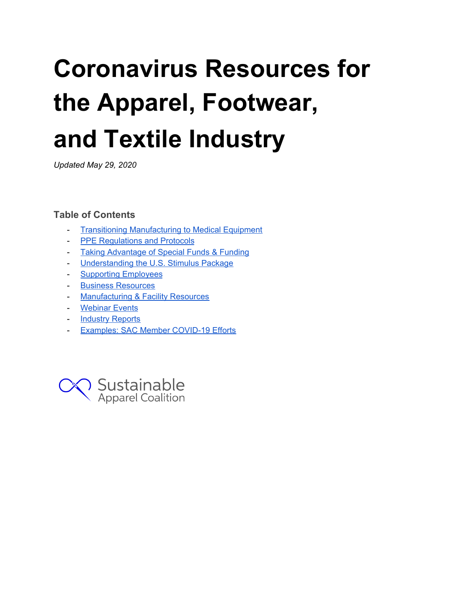# **Coronavirus Resources for the Apparel, Footwear, and Textile Industry**

*Updated May 29, 2020*

# **Table of Contents**

- Transitioning [Manufacturing](#page-1-0) to Medical Equipment
- PPE [Regulations](#page-1-1) and Protocols
- Taking [Advantage](#page-2-0) of Special Funds & Funding
- [Understanding](#page-2-1) the U.S. Stimulus Package
- Supporting [Employees](#page-3-0)
- Business [Resources](#page-3-1)
- [Manufacturing](#page-4-0) & Facility Resources
- [Webinar](#page-6-0) Events
- **[Industry](#page-6-1) Reports**
- Examples: SAC Member COVID-19 Efforts

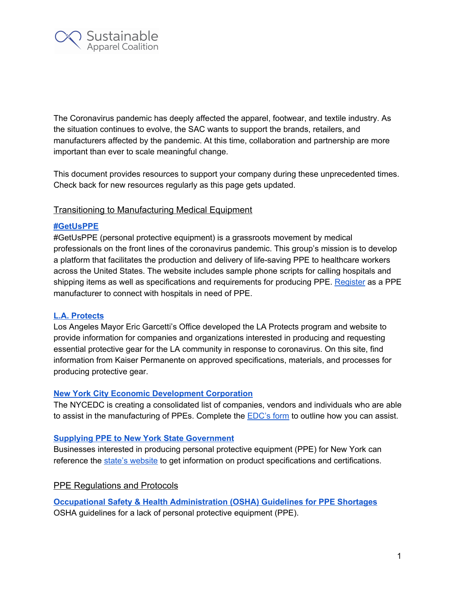

The Coronavirus pandemic has deeply affected the apparel, footwear, and textile industry. As the situation continues to evolve, the SAC wants to support the brands, retailers, and manufacturers affected by the pandemic. At this time, collaboration and partnership are more important than ever to scale meaningful change.

This document provides resources to support your company during these unprecedented times. Check back for new resources regularly as this page gets updated.

## <span id="page-1-0"></span>Transitioning to Manufacturing Medical Equipment

#### **[#GetUsPPE](https://getusppe.org/)**

#GetUsPPE (personal protective equipment) is a grassroots movement by medical professionals on the front lines of the coronavirus pandemic. This group's mission is to develop a platform that facilitates the production and delivery of life-saving PPE to healthcare workers across the United States. The website includes sample phone scripts for calling hospitals and shipping items as well as specifications and requirements for producing PPE. [Register](https://getusppe.org/makers/) as a PPE manufacturer to connect with hospitals in need of PPE.

## **L.A. [Protects](https://laprotects.org/)**

Los Angeles Mayor Eric Garcetti's Office developed the LA Protects program and website to provide information for companies and organizations interested in producing and requesting essential protective gear for the LA community in response to coronavirus. On this site, find information from Kaiser Permanente on approved specifications, materials, and processes for producing protective gear.

#### **New York City Economic [Development](https://edc.nyc/covid-19-emergency-supply-sourcing-manufacturing) Corporation**

The NYCEDC is creating a consolidated list of companies, vendors and individuals who are able to assist in the manufacturing of PPEs. Complete the **[EDC's](https://nycedc.formstack.com/forms/covid19_support)** form to outline how you can assist.

#### **Supplying PPE to New York State [Government](https://esd.ny.gov/sourcing-covid-19-products-nys)**

Businesses interested in producing personal protective equipment (PPE) for New York can reference the state's [website](https://esd.ny.gov/sourcing-covid-19-products-nys) to get information on product specifications and certifications.

## <span id="page-1-1"></span>**PPE Regulations and Protocols**

**Occupational Safety & Health [Administration](https://www.osha.gov/SLTC/etools/hospital/hazards/ppe/ppe.html) (OSHA) Guidelines for PPE Shortages** OSHA guidelines for a lack of personal protective equipment (PPE).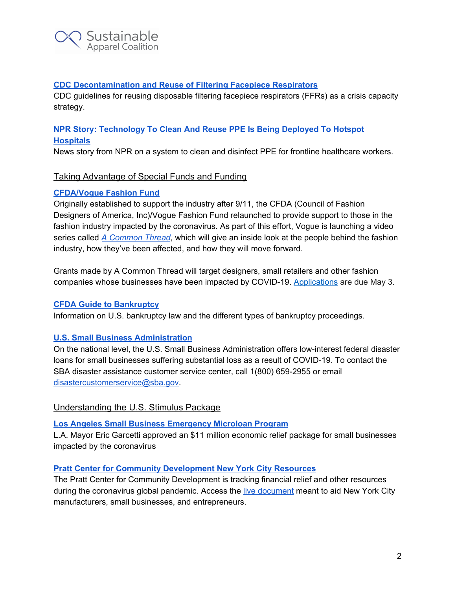

## **CDC [Decontamination](https://www.cdc.gov/coronavirus/2019-ncov/hcp/ppe-strategy/decontamination-reuse-respirators.html) and Reuse of Filtering Facepiece Respirators**

CDC guidelines for reusing disposable filtering facepiece respirators (FFRs) as a crisis capacity strategy.

# **NPR Story: [Technology](https://www.npr.org/2020/03/30/823803831/technology-to-clean-and-reuse-ppe-is-being-deployed-to-hotspot-hospitals) To Clean And Reuse PPE Is Being Deployed To Hotspot [Hospitals](https://www.npr.org/2020/03/30/823803831/technology-to-clean-and-reuse-ppe-is-being-deployed-to-hotspot-hospitals)**

<span id="page-2-0"></span>News story from NPR on a system to clean and disinfect PPE for frontline healthcare workers.

# Taking Advantage of Special Funds and Funding

## **[CFDA/Vogue](https://cfda.com/programs/designers/cfdavogue-fashion-fund) Fashion Fund**

Originally established to support the industry after 9/11, the CFDA (Council of Fashion Designers of America, Inc)/Vogue Fashion Fund relaunched to provide support to those in the fashion industry impacted by the coronavirus. As part of this effort, Vogue is launching a video series called *A [Common](https://www.vogue.com/article/a-common-thread-video-series) Thread*, which will give an inside look at the people behind the fashion industry, how they've been affected, and how they will move forward.

Grants made by A Common Thread will target designers, small retailers and other fashion companies whose businesses have been impacted by COVID-19. [Applications](https://docs.google.com/forms/d/e/1FAIpQLSdahtjT7V2xEggxJNNSffj3HMgflI7d-jsVUUspmiR5fo1y7g/viewform) are due May 3.

## **CFDA Guide to [Bankruptcy](https://cfda.com/news/a-guide-to-bankruptcy)**

Information on U.S. bankruptcy law and the different types of bankruptcy proceedings.

## **U.S. Small Business [Administration](https://www.sba.gov/disaster-assistance/coronavirus-covid-19)**

On the national level, the U.S. Small Business Administration offers low-interest federal disaster loans for small businesses suffering substantial loss as a result of COVID-19. To contact the SBA disaster assistance customer service center, call 1(800) 659-2955 or email [disastercustomerservice@sba.gov](mailto:disastercustomerservice@sba.gov).

## <span id="page-2-1"></span>Understanding the U.S. Stimulus Package

#### **Los Angeles Small Business [Emergency](https://ewddlacity.com/index.php/microloan-program) Microloan Program**

L.A. Mayor Eric Garcetti approved an \$11 million economic relief package for small businesses impacted by the coronavirus

## **Pratt Center for Community [Development](https://docs.google.com/spreadsheets/d/12IGXL9XweZImqYcS8V8zFWNDV50q5R0eZECRalwTo7E/edit#gid=0) New York City Resources**

The Pratt Center for Community Development is tracking financial relief and other resources during the coronavirus global pandemic. Access the live [document](https://docs.google.com/spreadsheets/d/12IGXL9XweZImqYcS8V8zFWNDV50q5R0eZECRalwTo7E/edit#gid=0) meant to aid New York City manufacturers, small businesses, and entrepreneurs.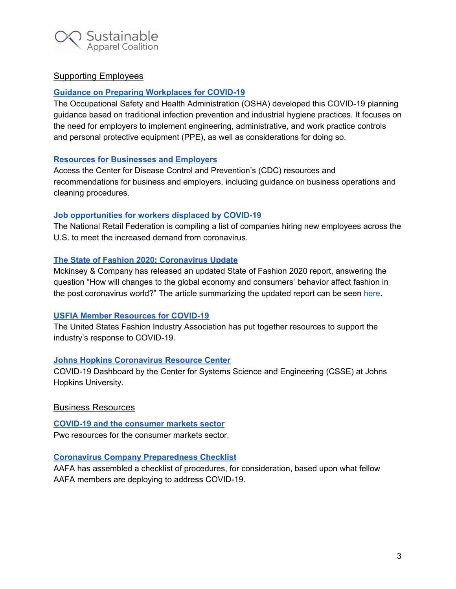

# <span id="page-3-0"></span>Supporting Employees

## **Guidance on Preparing [Workplaces](https://www.osha.gov/Publications/OSHA3990.pdf) for COVID-19**

The Occupational Safety and Health Administration (OSHA) developed this COVID-19 planning guidance based on traditional infection prevention and industrial hygiene practices. It focuses on the need for employers to implement engineering, administrative, and work practice controls and personal protective equipment (PPE), as well as considerations for doing so.

## **Resources for [Businesses](https://www.cdc.gov/coronavirus/2019-ncov/community/organizations/businesses-employers.html) and Employers**

Access the Center for Disease Control and Prevention's (CDC) resources and recommendations for business and employers, including guidance on business operations and cleaning procedures.

#### **Job [opportunities](https://nrf.com/resources/job-opportunities-workers-displaced-covid-19) for workers displaced by COVID-19**

The National Retail Federation is compiling a list of companies hiring new employees across the U.S. to meet the increased demand from coronavirus.

## **The State of Fashion 2020: [Coronavirus](https://www.mckinsey.com/~/media/McKinsey/Industries/Retail/Our%20Insights/Its%20time%20to%20rewire%20the%20fashion%20system%20State%20of%20Fashion%20coronavirus%20update/The-State-of-Fashion-2020-Coronavirus-Update-final) Update**

Mckinsey & Company has released an updated State of Fashion 2020 report, answering the question "How will changes to the global economy and consumers' behavior affect fashion in the post coronavirus world?" The article summarizing the updated report can be seen [here.](https://www.mckinsey.com/industries/retail/our-insights/its-time-to-rewire-the-fashion-system-state-of-fashion-coronavirus-update)

## **USFIA Member [Resources](https://www.usfashionindustry.com/news/usfia-member-resources-for-covid-19) for COVID-19**

The United States Fashion Industry Association has put together resources to support the industry's response to COVID-19.

## **Johns Hopkins [Coronavirus](https://coronavirus.jhu.edu/map.html) Resource Center**

COVID-19 Dashboard by the Center for Systems Science and Engineering (CSSE) at Johns Hopkins University.

## <span id="page-3-1"></span>Business Resources

**COVID-19 and the [consumer](https://www.pwc.com/us/en/library/covid-19/coronavirus-impacts-consumer-markets.html) markets sector** Pwc resources for the consumer markets sector.

## **Coronavirus Company [Preparedness](https://www.aafaglobal.org/AAFA/Solutions_Pages/Coronavirus_Checklist.aspx) Checklist**

AAFA has assembled a checklist of procedures, for consideration, based upon what fellow AAFA members are deploying to address COVID-19.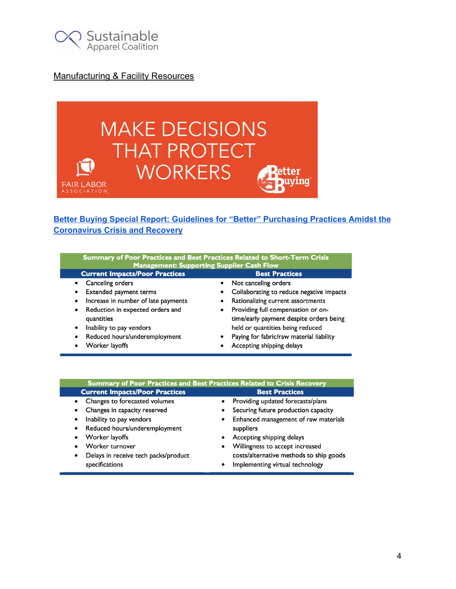

# <span id="page-4-0"></span>Manufacturing & Facility Resources



# **Better Buying Special Report: Guidelines for "Better" [Purchasing](https://betterbuying.org/wp-content/uploads/2020/04/Better-Buying-Special-Report-COVID-19-Guidance-for-Brands-and-Retailers.pdf) Practices Amidst the [Coronavirus](https://betterbuying.org/wp-content/uploads/2020/04/Better-Buying-Special-Report-COVID-19-Guidance-for-Brands-and-Retailers.pdf) Crisis and Recovery**

| Summary of Poor Practices and Best Practices Related to Short-Term Crisis<br><b>Management: Supporting Supplier Cash Flow</b> |                                                       |  |
|-------------------------------------------------------------------------------------------------------------------------------|-------------------------------------------------------|--|
| <b>Current Impacts/Poor Practices</b>                                                                                         | <b>Best Practices</b>                                 |  |
| Canceling orders<br>$\bullet$                                                                                                 | Not canceling orders                                  |  |
| Extended payment terms                                                                                                        | Collaborating to reduce negative impacts              |  |
| Increase in number of late payments<br>$\bullet$                                                                              | Rationalizing current assortments<br>$\bullet$        |  |
| Reduction in expected orders and<br>$\bullet$                                                                                 | Providing full compensation or on-<br>$\bullet$       |  |
| quantities                                                                                                                    | time/early payment despite orders being               |  |
| Inability to pay vendors<br>$\bullet$                                                                                         | held or quantities being reduced                      |  |
| Reduced hours/underemployment<br>$\bullet$                                                                                    | Paying for fabric/raw material liability<br>$\bullet$ |  |
| Worker layoffs                                                                                                                | Accepting shipping delays                             |  |

| Summary of Poor Practices and Best Practices Related to Crisis Recovery                                                                                                                                                                                     |                                                                                                                                                                                                                                                                               |
|-------------------------------------------------------------------------------------------------------------------------------------------------------------------------------------------------------------------------------------------------------------|-------------------------------------------------------------------------------------------------------------------------------------------------------------------------------------------------------------------------------------------------------------------------------|
| <b>Current Impacts/Poor Practices</b>                                                                                                                                                                                                                       | <b>Best Practices</b>                                                                                                                                                                                                                                                         |
| • Changes to forecasted volumes<br>Changes in capacity reserved<br>Inability to pay vendors<br>$\bullet$<br>• Reduced hours/underemployment<br>• Worker layoffs<br>• Worker turnover<br>Delays in receive tech packs/product<br>$\bullet$<br>specifications | • Providing updated forecasts/plans<br>Securing future production capacity<br>Enhanced management of raw materials<br>suppliers<br>Accepting shipping delays<br>Willingness to accept increased<br>costs/alternative methods to ship goods<br>Implementing virtual technology |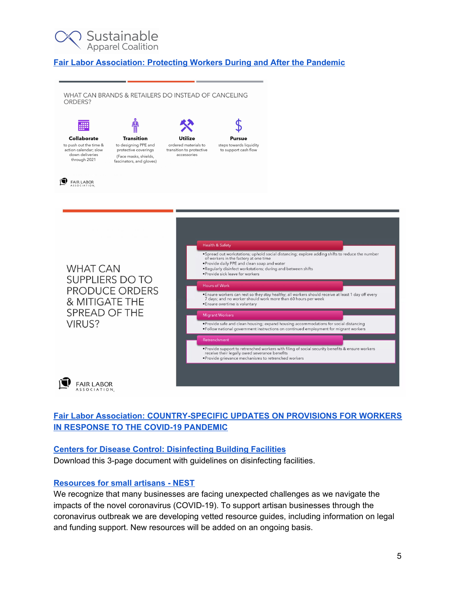

## **Fair Labor [Association:](https://www.fairlabor.org/report/protecting-workers-during-and-after-global-pandemic) Protecting Workers During and After the Pandemic**

WHAT CAN BRANDS & RETAILERS DO INSTEAD OF CANCELING ORDERS?



to push out the time & action calendar; slow down deliveries through 2021



**Utilize** ordered materials to transition to protective accessories



to support cash flow





# **Fair Labor Association: [COUNTRY-SPECIFIC](https://www.fairlabor.org/blog/entry/country-specific-updates-provisions-workers-response-covid-19-pandemic) UPDATES ON PROVISIONS FOR WORKERS IN [RESPONSE](https://www.fairlabor.org/blog/entry/country-specific-updates-provisions-workers-response-covid-19-pandemic) TO THE COVID-19 PANDEMIC**

# **Centers for Disease Control: [Disinfecting](https://www.cdc.gov/coronavirus/2019-ncov/community/disinfecting-building-facility-H.pdf) Building Facilities**

Download this 3-page document with guidelines on disinfecting facilities.

# **[Resources](https://www.buildanest.org/programs/covid19-resources/) for small artisans - NEST**

We recognize that many businesses are facing unexpected challenges as we navigate the impacts of the novel coronavirus (COVID-19). To support artisan businesses through the coronavirus outbreak we are developing vetted resource guides, including information on legal and funding support. New resources will be added on an ongoing basis.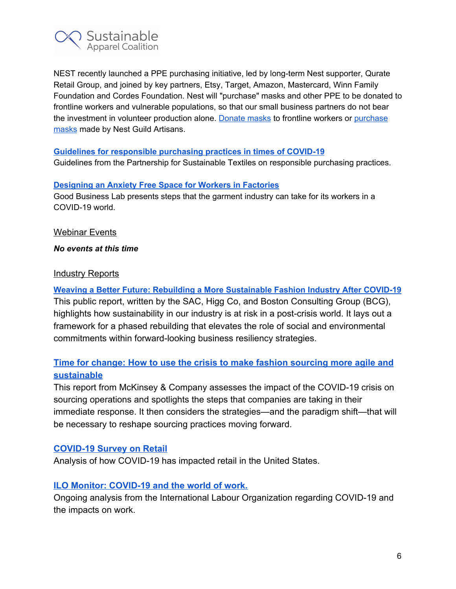

NEST recently launched a PPE purchasing initiative, led by long-term Nest supporter, Qurate Retail Group, and joined by key partners, Etsy, Target, Amazon, Mastercard, Winn Family Foundation and Cordes Foundation. Nest will "purchase" masks and other PPE to be donated to frontline workers and vulnerable populations, so that our small business partners do not bear the investment in volunteer production alone. [Donate](https://nest.givingfuel.com/give-a-mask?utm_source=New%20Nest%20Newsletter&utm_campaign=cee05f2a6b-EMAIL_CAMPAIGN_2019_12_09_08_55_COPY_01&utm_medium=email&utm_term=0_6137e074bd-cee05f2a6b-208868165) masks to frontline workers or [purchase](https://www.buildanest.org/masks-made-by-makers/?utm_source=New+Nest+Newsletter&utm_campaign=cee05f2a6b-EMAIL_CAMPAIGN_2019_12_09_08_55_COPY_01&utm_medium=email&utm_term=0_6137e074bd-cee05f2a6b-208868165) [masks](https://www.buildanest.org/masks-made-by-makers/?utm_source=New+Nest+Newsletter&utm_campaign=cee05f2a6b-EMAIL_CAMPAIGN_2019_12_09_08_55_COPY_01&utm_medium=email&utm_term=0_6137e074bd-cee05f2a6b-208868165) made by Nest Guild Artisans.

## **Guidelines for [responsible](https://www.textilbuendnis.com/download/leitsaetze-einkaufspraktiken-covid19/) purchasing practices in times of COVID-19**

Guidelines from the Partnership for Sustainable Textiles on responsible purchasing practices.

#### **[Designing](https://www.goodbusinesslab.org/web/covid-19-suggested-guidelines-for-garment-industry.pdf?utm_source=website&utm_medium=tile&utm_campaign=hackathon_doc) an Anxiety Free Space for Workers in Factories**

Good Business Lab presents steps that the garment industry can take for its workers in a COVID-19 world.

## <span id="page-6-0"></span>**Webinar Events**

#### <span id="page-6-1"></span>*No events at this time*

## Industry Reports

**Weaving a Better Future: Rebuilding a More [Sustainable](https://apparelcoalition.org/wp-content/uploads/2020/04/Weaving-a-Better-Future-Covid-19-BCG-SAC-Higg-Co-Report.pdf) Fashion Industry After COVID-19** This public report, written by the SAC, Higg Co, and Boston Consulting Group (BCG), highlights how sustainability in our industry is at risk in a post-crisis world. It lays out a framework for a phased rebuilding that elevates the role of social and environmental commitments within forward-looking business resiliency strategies.

# **[Time for change: How to use the crisis to make fashion sourcing more agile and](https://www.mckinsey.com/industries/retail/our-insights/time-for-change-how-to-use-the-crisis-to-make-fashion-sourcing-more-agile-and-sustainable?cid=eml-web) [sustainable](https://www.mckinsey.com/industries/retail/our-insights/time-for-change-how-to-use-the-crisis-to-make-fashion-sourcing-more-agile-and-sustainable?cid=eml-web)**

This report from McKinsey & Company assesses the impact of the COVID-19 crisis on sourcing operations and spotlights the steps that companies are taking in their immediate response. It then considers the strategies—and the paradigm shift—that will be necessary to reshape sourcing practices moving forward.

# **[COVID-19 Survey on Retail](http://www.usfashionindustry.com/pdf_files/20200420-covid-19-survey-on-retail.pdf)**

Analysis of how COVID-19 has impacted retail in the United States.

# **[ILO Monitor: COVID-19 and the world of work.](https://www.ilo.org/wcmsp5/groups/public/---dgreports/---dcomm/documents/briefingnote/wcms_740877.pdf)**

Ongoing analysis from the International Labour Organization regarding COVID-19 and the impacts on work.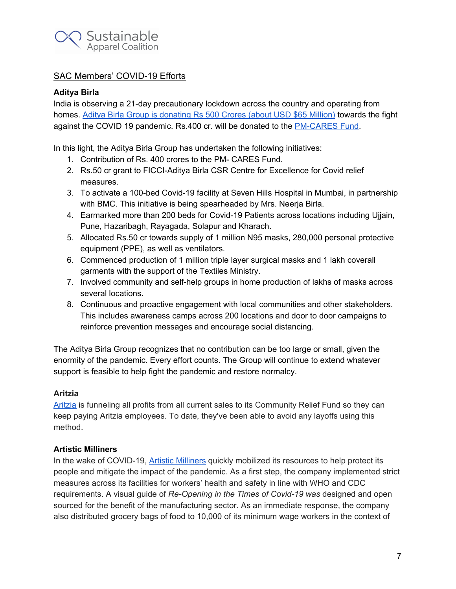

# SAC Members' COVID-19 Efforts

## **Aditya Birla**

India is observing a 21-day precautionary lockdown across the country and operating from homes. Aditya Birla Group is [donating](https://economictimes.indiatimes.com/news/politics-and-nation/aditya-birla-group-contributes-rs-500-crore-to-fight-covid-19-pandemic/articleshow/74969846.cms) Rs 500 Crores (about USD \$65 Million) towards the fight against the COVID 19 pandemic. Rs.400 cr. will be donated to the [PM-CARES](https://www.pmindia.gov.in/en/about-pm-cares-fund/) Fund.

In this light, the Aditya Birla Group has undertaken the following initiatives:

- 1. Contribution of Rs. 400 crores to the PM- CARES Fund.
- 2. Rs.50 cr grant to FICCI-Aditya Birla CSR Centre for Excellence for Covid relief measures.
- 3. To activate a 100-bed Covid-19 facility at Seven Hills Hospital in Mumbai, in partnership with BMC. This initiative is being spearheaded by Mrs. Neerja Birla.
- 4. Earmarked more than 200 beds for Covid-19 Patients across locations including Ujjain, Pune, Hazaribagh, Rayagada, Solapur and Kharach.
- 5. Allocated Rs.50 cr towards supply of 1 million N95 masks, 280,000 personal protective equipment (PPE), as well as ventilators.
- 6. Commenced production of 1 million triple layer surgical masks and 1 lakh coverall garments with the support of the Textiles Ministry.
- 7. Involved community and self-help groups in home production of lakhs of masks across several locations.
- 8. Continuous and proactive engagement with local communities and other stakeholders. This includes awareness camps across 200 locations and door to door campaigns to reinforce prevention messages and encourage social distancing.

The Aditya Birla Group recognizes that no contribution can be too large or small, given the enormity of the pandemic. Every effort counts. The Group will continue to extend whatever support is feasible to help fight the pandemic and restore normalcy.

## **Aritzia**

[Aritzia](https://www.aritzia.com/us/en/aritzia/covid-19.html) is funneling all profits from all current sales to its Community Relief Fund so they can keep paying Aritzia employees. To date, they've been able to avoid any layoffs using this method.

## **Artistic Milliners**

In the wake of COVID-19, Artistic [Milliners](http://www.artisticmilliners.com/covid19/main.htm) quickly mobilized its resources to help protect its people and mitigate the impact of the pandemic. As a first step, the company implemented strict measures across its facilities for workers' health and safety in line with WHO and CDC requirements. A visual guide of *Re-Opening in the Times of Covid-19 was* designed and open sourced for the benefit of the manufacturing sector. As an immediate response, the company also distributed grocery bags of food to 10,000 of its minimum wage workers in the context of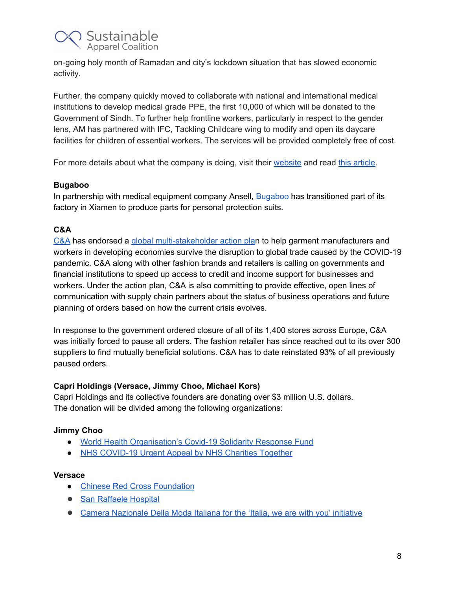

on-going holy month of Ramadan and city's lockdown situation that has slowed economic activity.

Further, the company quickly moved to collaborate with national and international medical institutions to develop medical grade PPE, the first 10,000 of which will be donated to the Government of Sindh. To further help frontline workers, particularly in respect to the gender lens, AM has partnered with IFC, Tackling Childcare wing to modify and open its daycare facilities for children of essential workers. The services will be provided completely free of cost.

For more details about what the company is doing, visit their [website](http://www.artisticmilliners.com/covid19/main.htm]) and read this [article.](https://denimology.com/2020/04/artistic-milliners-resuming-business-the-responsible-way)

#### **Bugaboo**

In partnership with medical equipment company Ansell, **[Bugaboo](https://www.linkedin.com/posts/bugaboo_bugaboo-ansell-covid19-activity-6661602697134788608-ANxy)** has transitioned part of its factory in Xiamen to produce parts for personal protection suits.

## **C&A**

[C&A](https://www.c-and-a.com/uk/en/corporate/company/newsroom/press-releases/2020/ca-backs-action-plan-to-support-garment-workers/) has endorsed a global [multi-stakeholder](https://www.ilo.org/global/topics/coronavirus/sectoral/WCMS_742343/lang--en/index.htm) action plan to help garment manufacturers and workers in developing economies survive the disruption to global trade caused by the COVID-19 pandemic. C&A along with other fashion brands and retailers is calling on governments and financial institutions to speed up access to credit and income support for businesses and workers. Under the action plan, C&A is also committing to provide effective, open lines of communication with supply chain partners about the status of business operations and future planning of orders based on how the current crisis evolves.

In response to the government ordered closure of all of its 1,400 stores across Europe, C&A was initially forced to pause all orders. The fashion retailer has since reached out to its over 300 suppliers to find mutually beneficial solutions. C&A has to date reinstated 93% of all previously paused orders.

## **Capri Holdings (Versace, Jimmy Choo, Michael Kors)**

Capri Holdings and its collective founders are donating over \$3 million U.S. dollars. The donation will be divided among the following organizations:

## **Jimmy Choo**

- World Health [Organisation's](https://www.who.int/emergencies/diseases/novel-coronavirus-2019/donate) Covid-19 Solidarity Response Fund
- NHS [COVID-19](https://www.nhscharitiestogether.co.uk/) Urgent Appeal by NHS Charities Together

#### **Versace**

- Chinese Red Cross [Foundation](http://en.crcf.org.cn/)
- San [Raffaele](https://www.hsr.it/) Hospital
- Camera [Nazionale](https://www.cameramoda.it/en/associazione/news/1597/) Della Moda Italiana for the 'Italia, we are with you' initiative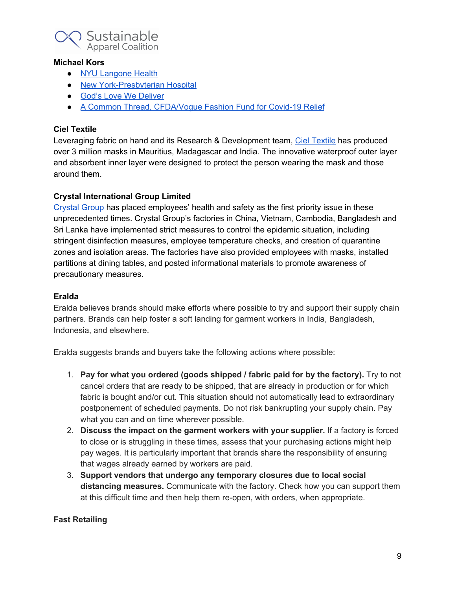

#### **Michael Kors**

- NYU [Langone](https://nyulangone.org/) Health
- New [York-Presbyterian](https://www.nyp.org/) Hospital
- God's Love We [Deliver](https://www.glwd.org/)
- A Common Thread, [CFDA/Vogue](https://secure.givelively.org/donate/cfda-foundation-inc/cvff-a-common-thread?utm_source=google&utm_medium=banner&utm_campaign=A%20Common%20Thread) Fashion Fund for Covid-19 Relief

## **Ciel Textile**

Leveraging fabric on hand and its Research & Development team, Ciel [Textile](https://www.linkedin.com/posts/ciel-textile_staysafe-activity-6661598891881959424-ogYL) has produced over 3 million masks in Mauritius, Madagascar and India. The innovative waterproof outer layer and absorbent inner layer were designed to protect the person wearing the mask and those around them.

## **Crystal International Group Limited**

[Crystal](https://www.fibre2fashion.com/news/company-news/crystal-group-fights-covid-19-through-strict-measures-266621-newsdetails.htm) Group has placed employees' health and safety as the first priority issue in these unprecedented times. Crystal Group's factories in China, Vietnam, Cambodia, Bangladesh and Sri Lanka have implemented strict measures to control the epidemic situation, including stringent disinfection measures, employee temperature checks, and creation of quarantine zones and isolation areas. The factories have also provided employees with masks, installed partitions at dining tables, and posted informational materials to promote awareness of precautionary measures.

#### **Eralda**

Eralda believes brands should make efforts where possible to try and support their supply chain partners. Brands can help foster a soft landing for garment workers in India, Bangladesh, Indonesia, and elsewhere.

Eralda suggests brands and buyers take the following actions where possible:

- 1. **Pay for what you ordered (goods shipped / fabric paid for by the factory).** Try to not cancel orders that are ready to be shipped, that are already in production or for which fabric is bought and/or cut. This situation should not automatically lead to extraordinary postponement of scheduled payments. Do not risk bankrupting your supply chain. Pay what you can and on time wherever possible.
- 2. **Discuss the impact on the garment workers with your supplier.** If a factory is forced to close or is struggling in these times, assess that your purchasing actions might help pay wages. It is particularly important that brands share the responsibility of ensuring that wages already earned by workers are paid.
- 3. **Support vendors that undergo any temporary closures due to local social distancing measures.** Communicate with the factory. Check how you can support them at this difficult time and then help them re-open, with orders, when appropriate.

## **Fast Retailing**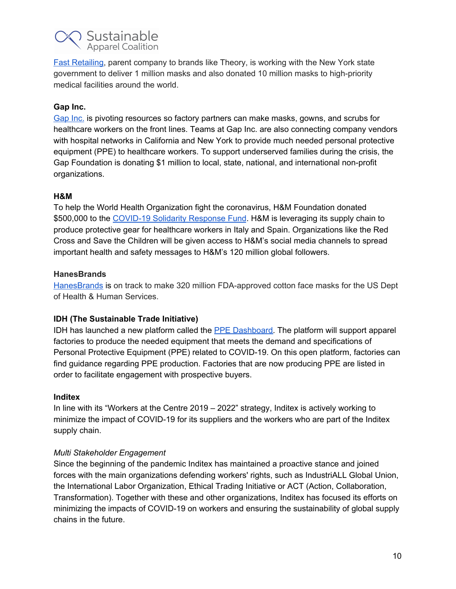

Fast [Retailing,](https://www.theory.com/covid19.html) parent company to brands like Theory, is working with the New York state government to deliver 1 million masks and also donated 10 million masks to high-priority medical facilities around the world.

## **Gap Inc.**

[Gap](https://corporate.gapinc.com/en-us/news/coronavirus-response) Inc. is pivoting resources so factory partners can make masks, gowns, and scrubs for healthcare workers on the front lines. Teams at Gap Inc. are also connecting company vendors with hospital networks in California and New York to provide much needed personal protective equipment (PPE) to healthcare workers. To support underserved families during the crisis, the Gap Foundation is donating \$1 million to local, state, national, and international non-profit organizations.

## **H&M**

To help the World Health Organization fight the coronavirus, H&M Foundation donated \$500,000 to the [COVID-19](https://www.who.int/emergencies/diseases/novel-coronavirus-2019/donate) Solidarity Response Fund. H&M is leveraging its supply chain to produce protective gear for healthcare workers in Italy and Spain. Organizations like the Red Cross and Save the Children will be given access to H&M's social media channels to spread important health and safety messages to H&M's 120 million global followers.

## **HanesBrands**

[HanesBrands](https://hanesforgood.com/inthistogether/) is on track to make 320 million FDA-approved cotton face masks for the US Dept of Health & Human Services.

## **IDH (The Sustainable Trade Initiative)**

IDH has launched a new platform called the **PPE Dashboard**. The platform will support apparel factories to produce the needed equipment that meets the demand and specifications of Personal Protective Equipment (PPE) related to COVID-19. On this open platform, factories can find guidance regarding PPE production. Factories that are now producing PPE are listed in order to facilitate engagement with prospective buyers.

#### **Inditex**

In line with its "Workers at the Centre 2019 – 2022" strategy, Inditex is actively working to minimize the impact of COVID-19 for its suppliers and the workers who are part of the Inditex supply chain.

## *Multi Stakeholder Engagement*

Since the beginning of the pandemic Inditex has maintained a proactive stance and joined forces with the main organizations defending workers' rights, such as IndustriALL Global Union, the International Labor Organization, Ethical Trading Initiative or ACT (Action, Collaboration, Transformation). Together with these and other organizations, Inditex has focused its efforts on minimizing the impacts of COVID-19 on workers and ensuring the sustainability of global supply chains in the future.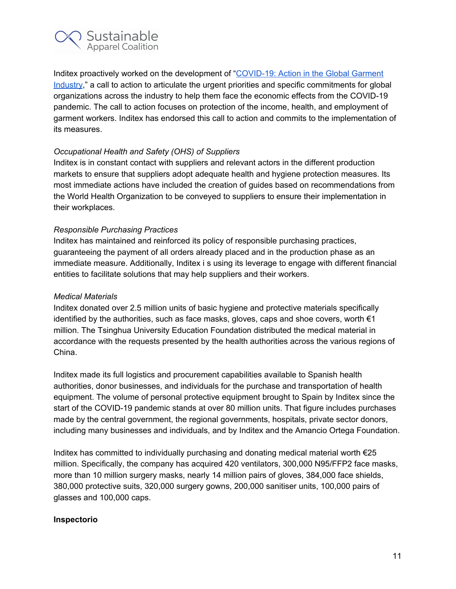

Inditex proactively worked on the development of ["COVID-19:](https://www.ilo.org/global/topics/coronavirus/sectoral/WCMS_742343/lang--en/index.htm) Action in the Global Garment [Industry](https://www.ilo.org/global/topics/coronavirus/sectoral/WCMS_742343/lang--en/index.htm)," a call to action to articulate the urgent priorities and specific commitments for global organizations across the industry to help them face the economic effects from the COVID-19 pandemic. The call to action focuses on protection of the income, health, and employment of garment workers. Inditex has endorsed this call to action and commits to the implementation of its measures.

## *Occupational Health and Safety (OHS) of Suppliers*

Inditex is in constant contact with suppliers and relevant actors in the different production markets to ensure that suppliers adopt adequate health and hygiene protection measures. Its most immediate actions have included the creation of guides based on recommendations from the World Health Organization to be conveyed to suppliers to ensure their implementation in their workplaces.

#### *Responsible Purchasing Practices*

Inditex has maintained and reinforced its policy of responsible purchasing practices, guaranteeing the payment of all orders already placed and in the production phase as an immediate measure. Additionally, Inditex i s using its leverage to engage with different financial entities to facilitate solutions that may help suppliers and their workers.

#### *Medical Materials*

Inditex donated over 2.5 million units of basic hygiene and protective materials specifically identified by the authorities, such as face masks, gloves, caps and shoe covers, worth  $\epsilon_1$ million. The Tsinghua University Education Foundation distributed the medical material in accordance with the requests presented by the health authorities across the various regions of China.

Inditex made its full logistics and procurement capabilities available to Spanish health authorities, donor businesses, and individuals for the purchase and transportation of health equipment. The volume of personal protective equipment brought to Spain by Inditex since the start of the COVID-19 pandemic stands at over 80 million units. That figure includes purchases made by the central government, the regional governments, hospitals, private sector donors, including many businesses and individuals, and by Inditex and the Amancio Ortega Foundation.

Inditex has committed to individually purchasing and donating medical material worth €25 million. Specifically, the company has acquired 420 ventilators, 300,000 N95/FFP2 face masks, more than 10 million surgery masks, nearly 14 million pairs of gloves, 384,000 face shields, 380,000 protective suits, 320,000 surgery gowns, 200,000 sanitiser units, 100,000 pairs of glasses and 100,000 caps.

#### **Inspectorio**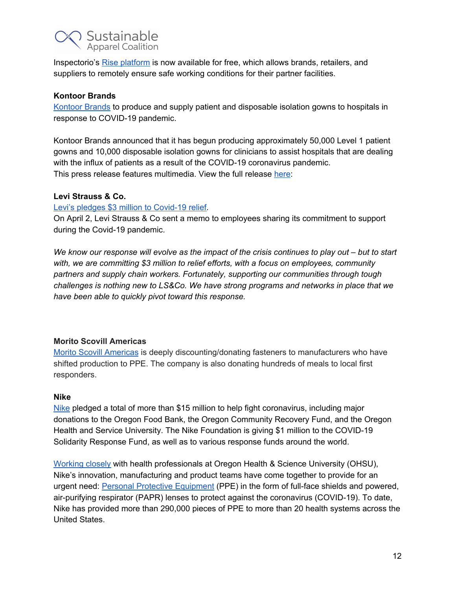

Inspectorio's Rise [platform](https://inspectorio.com/products/rise-covid-19/) is now available for free, which allows brands, retailers, and suppliers to remotely ensure safe working conditions for their partner facilities.

#### **Kontoor Brands**

[Kontoor](https://www.kontoorbrands.com/news-media/press-release/52/kontoor-brands-to-produce-and-supply-patient-and-disposable) Brands to produce and supply patient and disposable isolation gowns to hospitals in response to COVID-19 pandemic.

Kontoor Brands announced that it has begun producing approximately 50,000 Level 1 patient gowns and 10,000 disposable isolation gowns for clinicians to assist hospitals that are dealing with the influx of patients as a result of the COVID-19 coronavirus pandemic. This press release features multimedia. View the full release [here](https://www.businesswire.com/news/home/20200406005148/en/):

#### **Levi Strauss & Co.**

Levi's pledges \$3 million to [Covid-19](https://www.levistrauss.com/2020/04/02/lsco-commits-3-million-to-covid-19-response/) relief.

On April 2, Levi Strauss & Co sent a memo to employees sharing its commitment to support during the Covid-19 pandemic.

We know our response will evolve as the impact of the crisis continues to play out – but to start *with, we are committing \$3 million to relief efforts, with a focus on employees, community partners and supply chain workers. Fortunately, supporting our communities through tough challenges is nothing new to LS&Co. We have strong programs and networks in place that we have been able to quickly pivot toward this response.*

## **Morito Scovill Americas**

Morito Scovill [Americas](http://www.scovill.com/topics/covid-19/) is deeply discounting/donating fasteners to manufacturers who have shifted production to PPE. The company is also donating hundreds of meals to local first responders.

#### **Nike**

[Nike](https://purpose.nike.com/covid-19-response-efforts) pledged a total of more than \$15 million to help fight coronavirus, including major donations to the Oregon Food Bank, the Oregon Community Recovery Fund, and the Oregon Health and Service University. The Nike Foundation is giving \$1 million to the COVID-19 Solidarity Response Fund, as well as to various response funds around the world.

[Working](https://news.nike.com/news/inside-nike-s-race-to-help-protect-healthcare-workers) closely with health professionals at Oregon Health & Science University (OHSU), Nike's innovation, manufacturing and product teams have come together to provide for an urgent need: Personal Protective [Equipment](https://news.nike.com/news/nike-ppe-face-shields-covid-19-support) (PPE) in the form of full-face shields and powered, air-purifying respirator (PAPR) lenses to protect against the coronavirus (COVID-19). To date, Nike has provided more than 290,000 pieces of PPE to more than 20 health systems across the United States.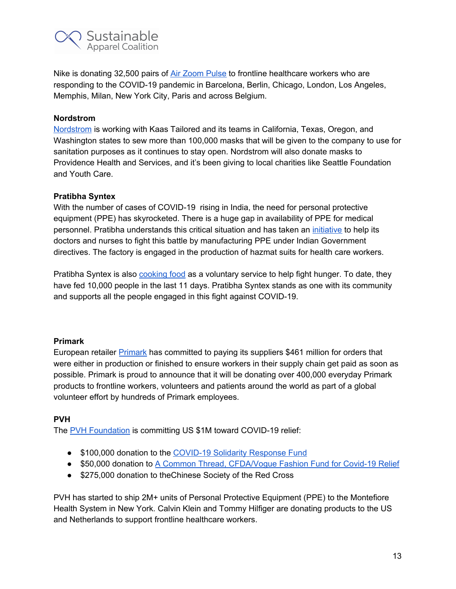

Nike is donating 32,500 pairs of Air [Zoom](https://news.nike.com/news/nike-air-zoom-pulse) Pulse to frontline healthcare workers who are responding to the COVID-19 pandemic in Barcelona, Berlin, Chicago, London, Los Angeles, Memphis, Milan, New York City, Paris and across Belgium.

## **Nordstrom**

Nordstrom is working with Kaas Tailored and its teams in California, Texas, Oregon, and Washington states to sew more than 100,000 masks that will be given to the company to use for sanitation purposes as it continues to stay open. Nordstrom will also donate masks to Providence Health and Services, and it's been giving to local charities like Seattle Foundation and Youth Care.

## **Pratibha Syntex**

With the number of cases of COVID-19 rising in India, the need for personal protective equipment (PPE) has skyrocketed. There is a huge gap in availability of PPE for medical personnel. Pratibha understands this critical situation and has taken an [initiative](https://timesofindia.indiatimes.com/city/indore/rising-to-the-challenge-textile-units-of-indore-make-ppe-kits-for-state/articleshow/74920857.cms) to help its doctors and nurses to fight this battle by manufacturing PPE under Indian Government directives. The factory is engaged in the production of hazmat suits for health care workers.

Pratibha Syntex is also [cooking](https://www.youtube.com/watch?v=2X8HzU3Ful0&feature=youtu.be) food as a voluntary service to help fight hunger. To date, they have fed 10,000 people in the last 11 days. Pratibha Syntex stands as one with its community and supports all the people engaged in this fight against COVID-19.

## **Primark**

European retailer [Primark](https://www.primark.com/primark-supports-the-fight-against-covid-19) has committed to paying its suppliers \$461 million for orders that were either in production or finished to ensure workers in their supply chain get paid as soon as possible. Primark is proud to announce that it will be donating over 400,000 everyday Primark products to frontline workers, volunteers and patients around the world as part of a global volunteer effort by hundreds of Primark employees.

## **PVH**

The PVH [Foundation](https://www.pvh.com/news/19646) is committing US \$1M toward COVID-19 relief:

- \$100,000 donation to the [COVID-19](https://www.who.int/emergencies/diseases/novel-coronavirus-2019/donate) Solidarity Response Fund
- \$50,000 donation to A Common Thread, [CFDA/Vogue](https://secure.givelively.org/donate/cfda-foundation-inc/cvff-a-common-thread?utm_source=google&utm_medium=banner&utm_campaign=A%20Common%20Thread) Fashion Fund for Covid-19 Relief
- \$275,000 donation to the Chinese Society of the Red Cross

PVH has started to ship 2M+ units of Personal Protective Equipment (PPE) to the Montefiore Health System in New York. Calvin Klein and Tommy Hilfiger are donating products to the US and Netherlands to support frontline healthcare workers.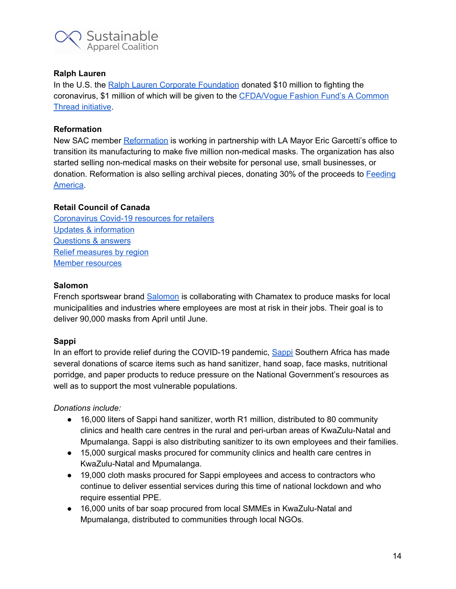

## **Ralph Lauren**

In the U.S. the Ralph Lauren Corporate [Foundation](https://corporate.ralphlauren.com/pr_200326_COVID19ReliefEfforts.html) donated \$10 million to fighting the coronavirus, \$1 million of which will be given to the [CFDA/Vogue](https://www.vogue.com/article/anna-wintour-cfda-fashion-fund-covid-19-coronavirus-relief) Fashion Fund's A Common Thread [initiative](https://www.vogue.com/article/anna-wintour-cfda-fashion-fund-covid-19-coronavirus-relief).

#### **Reformation**

New SAC member [Reformation](https://www.thereformation.com/pages/millionsofmasks) is working in partnership with LA Mayor Eric Garcetti's office to transition its manufacturing to make five million non-medical masks. The organization has also started selling non-medical masks on their website for personal use, small businesses, or donation. Reformation is also selling archival pieces, donating 30% of the proceeds to [Feeding](https://www.feedingamerica.org/) [America](https://www.feedingamerica.org/).

#### **Retail Council of Canada**

[Coronavirus](https://www.retailcouncil.org/coronavirus-info-for-retailers/) Covid-19 resources for retailers Updates & [information](https://www.retailcouncil.org/coronavirus-info-for-retailers/) [Questions](https://www.retailcouncil.org/coronavirus-info-for-retailers/faqs-for-retailers-on-covid-19/) & answers Relief [measures](https://www.retailcouncil.org/coronavirus-info-for-retailers/provincial-covid-19-resources-and-updates/) by region Member [resources](https://www.retailcouncil.org/coronavirus-info-for-retailers/covid-19-member-resources/)

#### **Salomon**

French sportswear brand [Salomon](https://www.salomon.com/en-us/blog/salomon-prototype-team-creating-medical-masks) is collaborating with Chamatex to produce masks for local municipalities and industries where employees are most at risk in their jobs. Their goal is to deliver 90,000 masks from April until June.

#### **Sappi**

In an effort to provide relief during the COVID-19 pandemic, [Sappi](https://www.sappi.com/sappi-donates-essential-items-and-products-for-covid-19-relief) Southern Africa has made several donations of scarce items such as hand sanitizer, hand soap, face masks, nutritional porridge, and paper products to reduce pressure on the National Government's resources as well as to support the most vulnerable populations.

#### *Donations include:*

- 16,000 liters of Sappi hand sanitizer, worth R1 million, distributed to 80 community clinics and health care centres in the rural and peri-urban areas of KwaZulu-Natal and Mpumalanga. Sappi is also distributing sanitizer to its own employees and their families.
- 15,000 surgical masks procured for community clinics and health care centres in KwaZulu-Natal and Mpumalanga.
- 19,000 cloth masks procured for Sappi employees and access to contractors who continue to deliver essential services during this time of national lockdown and who require essential PPE.
- 16,000 units of bar soap procured from local SMMEs in KwaZulu-Natal and Mpumalanga, distributed to communities through local NGOs.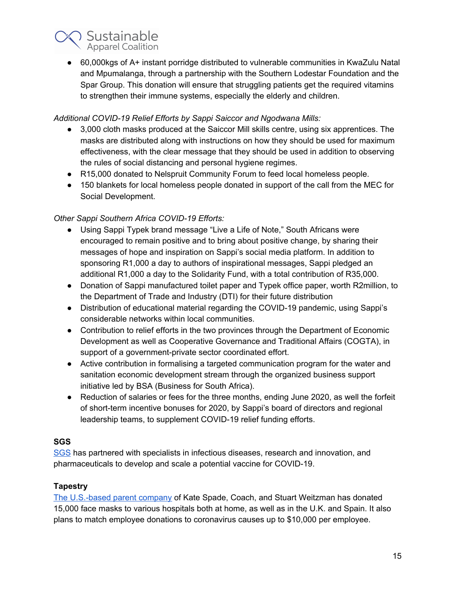

● 60,000kgs of A+ instant porridge distributed to vulnerable communities in KwaZulu Natal and Mpumalanga, through a partnership with the Southern Lodestar Foundation and the Spar Group. This donation will ensure that struggling patients get the required vitamins to strengthen their immune systems, especially the elderly and children.

## *Additional COVID-19 Relief Efforts by Sappi Saiccor and Ngodwana Mills:*

- 3,000 cloth masks produced at the Saiccor Mill skills centre, using six apprentices. The masks are distributed along with instructions on how they should be used for maximum effectiveness, with the clear message that they should be used in addition to observing the rules of social distancing and personal hygiene regimes.
- R15,000 donated to Nelspruit Community Forum to feed local homeless people.
- 150 blankets for local homeless people donated in support of the call from the MEC for Social Development.

# *Other Sappi Southern Africa COVID-19 Efforts:*

- Using Sappi Typek brand message "Live a Life of Note," South Africans were encouraged to remain positive and to bring about positive change, by sharing their messages of hope and inspiration on Sappi's social media platform. In addition to sponsoring R1,000 a day to authors of inspirational messages, Sappi pledged an additional R1,000 a day to the Solidarity Fund, with a total contribution of R35,000.
- Donation of Sappi manufactured toilet paper and Typek office paper, worth R2million, to the Department of Trade and Industry (DTI) for their future distribution
- Distribution of educational material regarding the COVID-19 pandemic, using Sappi's considerable networks within local communities.
- Contribution to relief efforts in the two provinces through the Department of Economic Development as well as Cooperative Governance and Traditional Affairs (COGTA), in support of a government-private sector coordinated effort.
- Active contribution in formalising a targeted communication program for the water and sanitation economic development stream through the organized business support initiative led by BSA (Business for South Africa).
- Reduction of salaries or fees for the three months, ending June 2020, as well the forfeit of short-term incentive bonuses for 2020, by Sappi's board of directors and regional leadership teams, to supplement COVID-19 relief funding efforts.

# **SGS**

[SGS](https://www.sgsgroup.in/en-gb/news/2020/04/sgs-joins-oxford-university-consortium-to-develop-covid-19-vaccine) has partnered with specialists in infectious diseases, research and innovation, and pharmaceuticals to develop and scale a potential vaccine for COVID-19.

# **Tapestry**

The [U.S.-based](https://www.tapestry.com/) parent company of Kate Spade, Coach, and Stuart Weitzman has donated 15,000 face masks to various hospitals both at home, as well as in the U.K. and Spain. It also plans to match employee donations to coronavirus causes up to \$10,000 per employee.